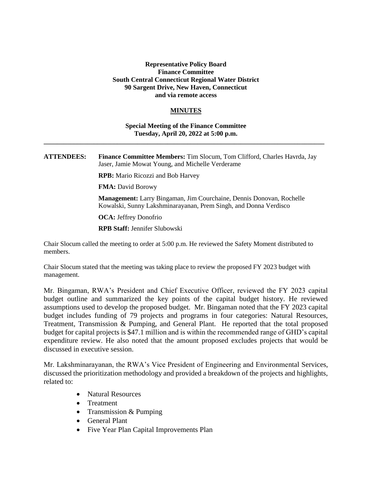## **Representative Policy Board Finance Committee South Central Connecticut Regional Water District 90 Sargent Drive, New Haven, Connecticut and via remote access**

## **MINUTES**

## **Special Meeting of the Finance Committee Tuesday, April 20, 2022 at 5:00 p.m.**

**\_\_\_\_\_\_\_\_\_\_\_\_\_\_\_\_\_\_\_\_\_\_\_\_\_\_\_\_\_\_\_\_\_\_\_\_\_\_\_\_\_\_\_\_\_\_\_\_\_\_\_\_\_\_\_\_\_\_\_\_\_\_\_\_\_\_\_\_\_\_\_\_\_\_\_\_\_\_\_\_\_\_\_\_**

**ATTENDEES: Finance Committee Members:** Tim Slocum, Tom Clifford, Charles Havrda, Jay Jaser, Jamie Mowat Young, and Michelle Verderame

**RPB:** Mario Ricozzi and Bob Harvey

**FMA:** David Borowy

**Management:** Larry Bingaman, Jim Courchaine, Dennis Donovan, Rochelle Kowalski, Sunny Lakshminarayanan, Prem Singh, and Donna Verdisco

**OCA:** Jeffrey Donofrio

**RPB Staff:** Jennifer Slubowski

Chair Slocum called the meeting to order at 5:00 p.m. He reviewed the Safety Moment distributed to members.

Chair Slocum stated that the meeting was taking place to review the proposed FY 2023 budget with management.

Mr. Bingaman, RWA's President and Chief Executive Officer, reviewed the FY 2023 capital budget outline and summarized the key points of the capital budget history. He reviewed assumptions used to develop the proposed budget. Mr. Bingaman noted that the FY 2023 capital budget includes funding of 79 projects and programs in four categories: Natural Resources, Treatment, Transmission & Pumping, and General Plant. He reported that the total proposed budget for capital projects is \$47.1 million and is within the recommended range of GHD's capital expenditure review. He also noted that the amount proposed excludes projects that would be discussed in executive session.

Mr. Lakshminarayanan, the RWA's Vice President of Engineering and Environmental Services, discussed the prioritization methodology and provided a breakdown of the projects and highlights, related to:

- Natural Resources
- Treatment
- Transmission & Pumping
- General Plant
- Five Year Plan Capital Improvements Plan